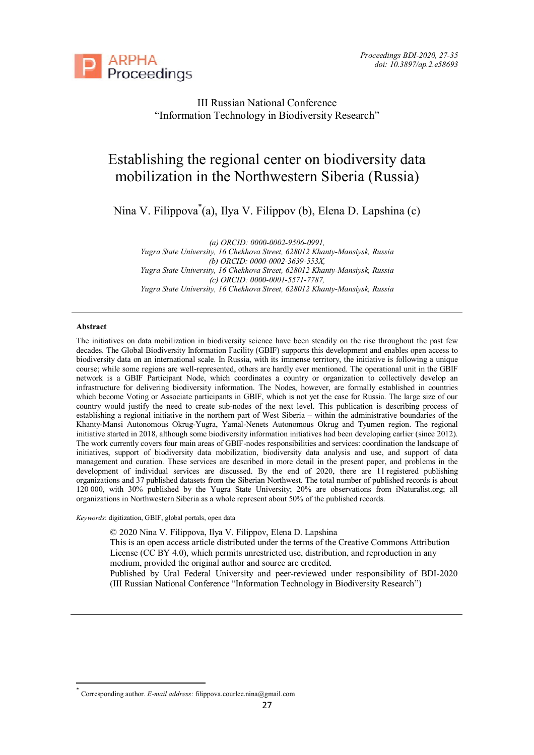

III Russian National Conference "Information Technology in Biodiversity Research"

# Establishing the regional center on biodiversity data mobilization in the Northwestern Siberia (Russia)

Nina V. Filippova\* (a), Ilya V. Filippov (b), Elena D. Lapshina (c)

*(a) ORCID: 0000-0002-9506-0991, Yugra State University, 16 Chekhova Street, 628012 Khanty-Mansiysk, Russia (b) ORCID: 0000-0002-3639-553X, Yugra State University, 16 Chekhova Street, 628012 Khanty-Mansiysk, Russia (c) ORCID: 0000-0001-5571-7787, Yugra State University, 16 Chekhova Street, 628012 Khanty-Mansiysk, Russia*

#### **Abstract**

 $\overline{a}$ 

The initiatives on data mobilization in biodiversity science have been steadily on the rise throughout the past few decades. The Global Biodiversity Information Facility (GBIF) supports this development and enables open access to biodiversity data on an international scale. In Russia, with its immense territory, the initiative is following a unique course; while some regions are well-represented, others are hardly ever mentioned. The operational unit in the GBIF network is a GBIF Participant Node, which coordinates a country or organization to collectively develop an infrastructure for delivering biodiversity information. The Nodes, however, are formally established in countries which become Voting or Associate participants in GBIF, which is not yet the case for Russia. The large size of our country would justify the need to create sub-nodes of the next level. This publication is describing process of establishing a regional initiative in the northern part of West Siberia – within the administrative boundaries of the Khanty-Mansi Autonomous Okrug-Yugra, Yamal-Nenets Autonomous Okrug and Tyumen region. The regional initiative started in 2018, although some biodiversity information initiatives had been developing earlier (since 2012). The work currently covers four main areas of GBIF-nodes responsibilities and services: coordination the landscape of initiatives, support of biodiversity data mobilization, biodiversity data analysis and use, and support of data management and curation. These services are described in more detail in the present paper, and problems in the development of individual services are discussed. By the end of 2020, there are 11 registered publishing organizations and 37 published datasets from the Siberian Northwest. The total number of published records is about 120 000, with 30% published by the Yugra State University; 20% are observations from iNaturalist.org; all organizations in Northwestern Siberia as a whole represent about 50% of the published records.

*Keywords*: digitization, GBIF, global portals, open data

© 2020 Nina V. Filippova, Ilya V. Filippov, Elena D. Lapshina

This is an open access article distributed under the terms of the Creative Commons Attribution License (CC BY 4.0), which permits unrestricted use, distribution, and reproduction in any medium, provided the original author and source are credited.

Published by Ural Federal University and peer-reviewed under responsibility of BDI-2020 (III Russian National Conference "Information Technology in Biodiversity Research")

<sup>\*</sup> Corresponding author. *E-mail address*: filippova.courlee.nina@gmail.com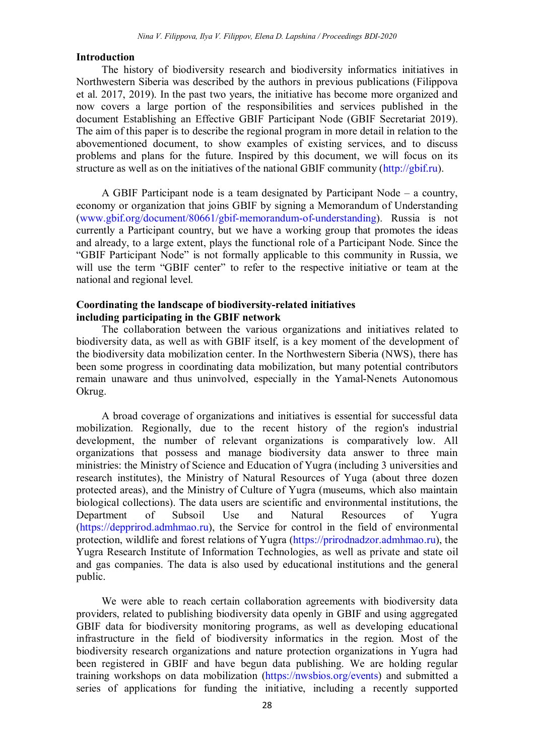# **Introduction**

The history of biodiversity research and biodiversity informatics initiatives in Northwestern Siberia was described by the authors in previous publications (Filippova et al. 2017, 2019). In the past two years, the initiative has become more organized and now covers a large portion of the responsibilities and services published in the document Establishing an Effective GBIF Participant Node (GBIF Secretariat 2019). The aim of this paper is to describe the regional program in more detail in relation to the abovementioned document, to show examples of existing services, and to discuss problems and plans for the future. Inspired by this document, we will focus on its structure as well as on the initiatives of the national GBIF community (http://gbif.ru).

A GBIF Participant node is a team designated by Participant Node – a country, economy or organization that joins GBIF by signing a Memorandum of Understanding (www.gbif.org/document/80661/gbif-memorandum-of-understanding). Russia is not currently a Participant country, but we have a working group that promotes the ideas and already, to a large extent, plays the functional role of a Participant Node. Since the "GBIF Participant Node" is not formally applicable to this community in Russia, we will use the term "GBIF center" to refer to the respective initiative or team at the national and regional level.

#### **Coordinating the landscape of biodiversity-related initiatives including participating in the GBIF network**

The collaboration between the various organizations and initiatives related to biodiversity data, as well as with GBIF itself, is a key moment of the development of the biodiversity data mobilization center. In the Northwestern Siberia (NWS), there has been some progress in coordinating data mobilization, but many potential contributors remain unaware and thus uninvolved, especially in the Yamal-Nenets Autonomous Okrug.

A broad coverage of organizations and initiatives is essential for successful data mobilization. Regionally, due to the recent history of the region's industrial development, the number of relevant organizations is comparatively low. All organizations that possess and manage biodiversity data answer to three main ministries: the Ministry of Science and Education of Yugra (including 3 universities and research institutes), the Ministry of Natural Resources of Yuga (about three dozen protected areas), and the Ministry of Culture of Yugra (museums, which also maintain biological collections). The data users are scientific and environmental institutions, the Department of Subsoil Use and Natural Resources of Yugra (https://depprirod.admhmao.ru), the Service for control in the field of environmental protection, wildlife and forest relations of Yugra (https://prirodnadzor.admhmao.ru), the Yugra Research Institute of Information Technologies, as well as private and state oil and gas companies. The data is also used by educational institutions and the general public.

We were able to reach certain collaboration agreements with biodiversity data providers, related to publishing biodiversity data openly in GBIF and using aggregated GBIF data for biodiversity monitoring programs, as well as developing educational infrastructure in the field of biodiversity informatics in the region. Most of the biodiversity research organizations and nature protection organizations in Yugra had been registered in GBIF and have begun data publishing. We are holding regular training workshops on data mobilization (https://nwsbios.org/events) and submitted a series of applications for funding the initiative, including a recently supported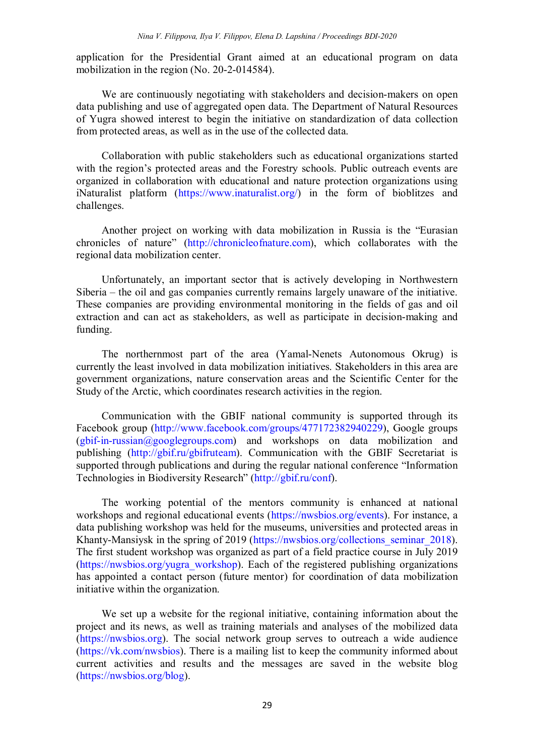application for the Presidential Grant aimed at an educational program on data mobilization in the region (No. 20-2-014584).

We are continuously negotiating with stakeholders and decision-makers on open data publishing and use of aggregated open data. The Department of Natural Resources of Yugra showed interest to begin the initiative on standardization of data collection from protected areas, as well as in the use of the collected data.

Collaboration with public stakeholders such as educational organizations started with the region's protected areas and the Forestry schools. Public outreach events are organized in collaboration with educational and nature protection organizations using iNaturalist platform (https://www.inaturalist.org/) in the form of bioblitzes and challenges.

Another project on working with data mobilization in Russia is the "Eurasian chronicles of nature" (http://chronicleofnature.com), which collaborates with the regional data mobilization center.

Unfortunately, an important sector that is actively developing in Northwestern Siberia – the oil and gas companies currently remains largely unaware of the initiative. These companies are providing environmental monitoring in the fields of gas and oil extraction and can act as stakeholders, as well as participate in decision-making and funding.

The northernmost part of the area (Yamal-Nenets Autonomous Okrug) is currently the least involved in data mobilization initiatives. Stakeholders in this area are government organizations, nature conservation areas and the Scientific Center for the Study of the Arctic, which coordinates research activities in the region.

Communication with the GBIF national community is supported through its Facebook group (http://www.facebook.com/groups/477172382940229), Google groups  $(gbit-in-russian@googlegroups.com)$  and workshops on data mobilization and publishing (http://gbif.ru/gbifruteam). Communication with the GBIF Secretariat is supported through publications and during the regular national conference "Information Technologies in Biodiversity Research" (http://gbif.ru/conf).

The working potential of the mentors community is enhanced at national workshops and regional educational events (https://nwsbios.org/events). For instance, a data publishing workshop was held for the museums, universities and protected areas in Khanty-Mansiysk in the spring of 2019 (https://nwsbios.org/collections seminar 2018). The first student workshop was organized as part of a field practice course in July 2019 (https://nwsbios.org/yugra\_workshop). Each of the registered publishing organizations has appointed a contact person (future mentor) for coordination of data mobilization initiative within the organization.

We set up a website for the regional initiative, containing information about the project and its news, as well as training materials and analyses of the mobilized data (https://nwsbios.org). The social network group serves to outreach a wide audience (https://vk.com/nwsbios). There is a mailing list to keep the community informed about current activities and results and the messages are saved in the website blog (https://nwsbios.org/blog).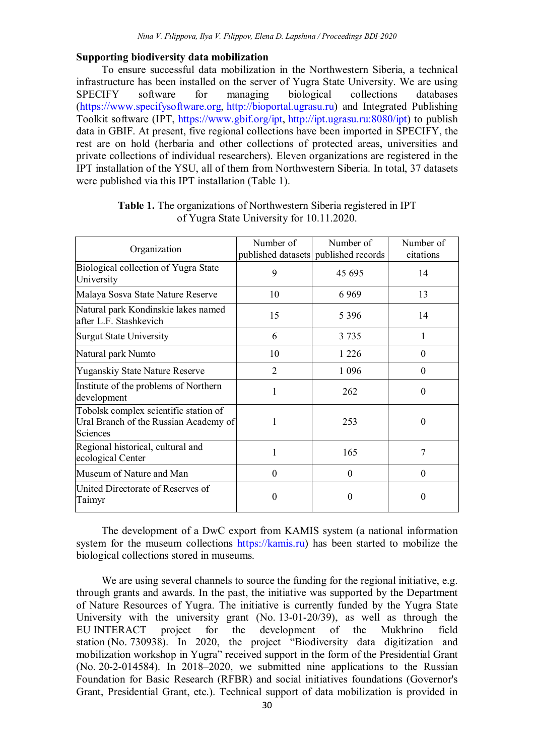### **Supporting biodiversity data mobilization**

To ensure successful data mobilization in the Northwestern Siberia, a technical infrastructure has been installed on the server of Yugra State University. We are using SPECIFY software for managing biological collections databases (https://www.specifysoftware.org, http://bioportal.ugrasu.ru) and Integrated Publishing Toolkit software (IPT, https://www.gbif.org/ipt, http://ipt.ugrasu.ru:8080/ipt) to publish data in GBIF. At present, five regional collections have been imported in SPECIFY, the rest are on hold (herbaria and other collections of protected areas, universities and private collections of individual researchers). Eleven organizations are registered in the IPT installation of the YSU, all of them from Northwestern Siberia. In total, 37 datasets were published via this IPT installation (Table 1).

| Organization                                                                               | Number of | Number of                            | Number of |
|--------------------------------------------------------------------------------------------|-----------|--------------------------------------|-----------|
|                                                                                            |           | published datasets published records | citations |
| Biological collection of Yugra State<br>University                                         | 9         | 45 695                               | 14        |
| Malaya Sosva State Nature Reserve                                                          | 10        | 6969                                 | 13        |
| Natural park Kondinskie lakes named<br>after L.F. Stashkevich                              | 15        | 5 3 9 6                              | 14        |
| <b>Surgut State University</b>                                                             | 6         | 3 7 3 5                              |           |
| Natural park Numto                                                                         | 10        | 1 2 2 6                              | $\theta$  |
| <b>Yuganskiy State Nature Reserve</b>                                                      | 2         | 1 0 9 6                              | $\theta$  |
| Institute of the problems of Northern<br>development                                       |           | 262                                  | $\Omega$  |
| Tobolsk complex scientific station of<br>Ural Branch of the Russian Academy of<br>Sciences | 1         | 253                                  | $\Omega$  |
| Regional historical, cultural and<br>ecological Center                                     |           | 165                                  | 7         |
| Museum of Nature and Man                                                                   | $\theta$  | $\theta$                             | $\Omega$  |
| United Directorate of Reserves of<br>Taimyr                                                | $\Omega$  | $\Omega$                             | $\Omega$  |

**Table 1.** The organizations of Northwestern Siberia registered in IPT of Yugra State University for 10.11.2020.

The development of a DwC export from KAMIS system (a national information system for the museum collections https://kamis.ru) has been started to mobilize the biological collections stored in museums.

We are using several channels to source the funding for the regional initiative, e.g. through grants and awards. In the past, the initiative was supported by the Department of Nature Resources of Yugra. The initiative is currently funded by the Yugra State University with the university grant (No. 13-01-20/39), as well as through the EU INTERACT project for the development of the Mukhrino field station (No. 730938). In 2020, the project "Biodiversity data digitization and mobilization workshop in Yugra" received support in the form of the Presidential Grant (No. 20-2-014584). In 2018–2020, we submitted nine applications to the Russian Foundation for Basic Research (RFBR) and social initiatives foundations (Governor's Grant, Presidential Grant, etc.). Technical support of data mobilization is provided in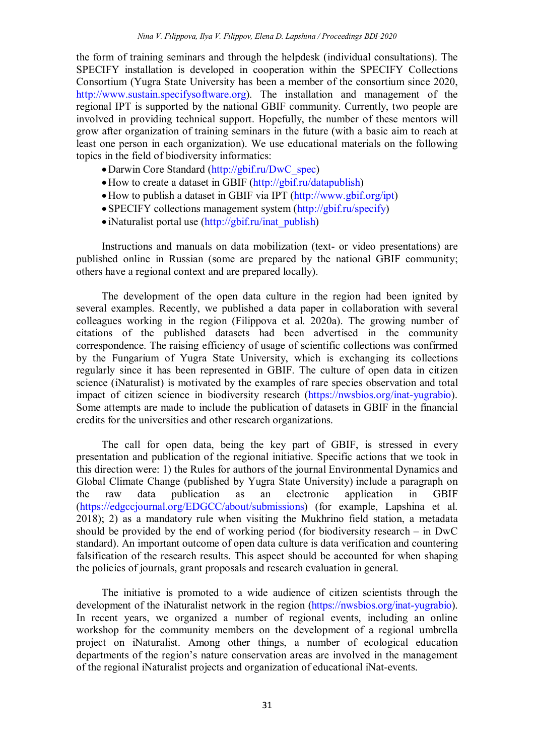the form of training seminars and through the helpdesk (individual consultations). The SPECIFY installation is developed in cooperation within the SPECIFY Collections Consortium (Yugra State University has been a member of the consortium since 2020, http://www.sustain.specifysoftware.org). The installation and management of the regional IPT is supported by the national GBIF community. Currently, two people are involved in providing technical support. Hopefully, the number of these mentors will grow after organization of training seminars in the future (with a basic aim to reach at least one person in each organization). We use educational materials on the following topics in the field of biodiversity informatics:

- Darwin Core Standard (http://gbif.ru/DwC\_spec)
- How to create a dataset in GBIF (http://gbif.ru/datapublish)
- How to publish a dataset in GBIF via IPT (http://www.gbif.org/ipt)
- SPECIFY collections management system (http://gbif.ru/specify)
- $\bullet$  iNaturalist portal use (http://gbif.ru/inat\_publish)

Instructions and manuals on data mobilization (text- or video presentations) are published online in Russian (some are prepared by the national GBIF community; others have a regional context and are prepared locally).

The development of the open data culture in the region had been ignited by several examples. Recently, we published a data paper in collaboration with several colleagues working in the region (Filippova et al. 2020a). The growing number of citations of the published datasets had been advertised in the community correspondence. The raising efficiency of usage of scientific collections was confirmed by the Fungarium of Yugra State University, which is exchanging its collections regularly since it has been represented in GBIF. The culture of open data in citizen science (iNaturalist) is motivated by the examples of rare species observation and total impact of citizen science in biodiversity research (https://nwsbios.org/inat-yugrabio). Some attempts are made to include the publication of datasets in GBIF in the financial credits for the universities and other research organizations.

The call for open data, being the key part of GBIF, is stressed in every presentation and publication of the regional initiative. Specific actions that we took in this direction were: 1) the Rules for authors of the journal Environmental Dynamics and Global Climate Change (published by Yugra State University) include a paragraph on the raw data publication as an electronic application in GBIF (https://edgccjournal.org/EDGCC/about/submissions) (for example, Lapshina et al. 2018); 2) as a mandatory rule when visiting the Mukhrino field station, a metadata should be provided by the end of working period (for biodiversity research – in DwC standard). An important outcome of open data culture is data verification and countering falsification of the research results. This aspect should be accounted for when shaping the policies of journals, grant proposals and research evaluation in general.

The initiative is promoted to a wide audience of citizen scientists through the development of the iNaturalist network in the region (https://nwsbios.org/inat-yugrabio). In recent years, we organized a number of regional events, including an online workshop for the community members on the development of a regional umbrella project on iNaturalist. Among other things, a number of ecological education departments of the region's nature conservation areas are involved in the management of the regional iNaturalist projects and organization of educational iNat-events.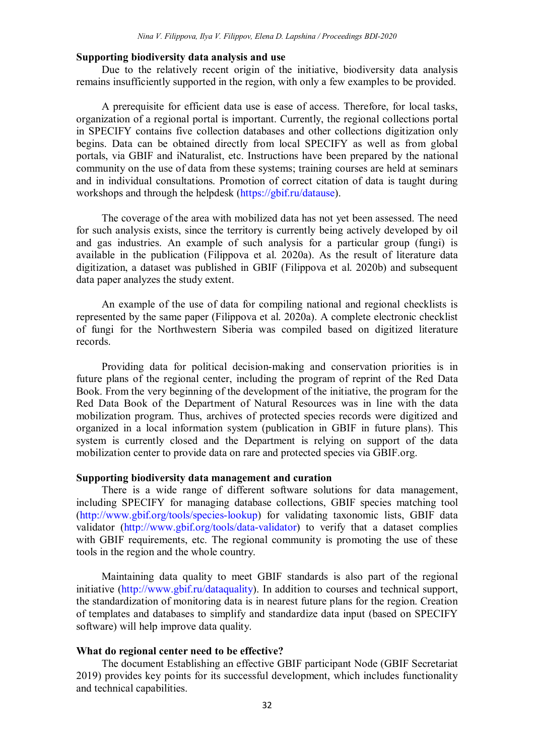#### **Supporting biodiversity data analysis and use**

Due to the relatively recent origin of the initiative, biodiversity data analysis remains insufficiently supported in the region, with only a few examples to be provided.

A prerequisite for efficient data use is ease of access. Therefore, for local tasks, organization of a regional portal is important. Currently, the regional collections portal in SPECIFY contains five collection databases and other collections digitization only begins. Data can be obtained directly from local SPECIFY as well as from global portals, via GBIF and iNaturаlist, etc. Instructions have been prepared by the national community on the use of data from these systems; training courses are held at seminars and in individual consultations. Promotion of correct citation of data is taught during workshops and through the helpdesk (https://gbif.ru/datause).

The coverage of the area with mobilized data has not yet been assessed. The need for such analysis exists, since the territory is currently being actively developed by oil and gas industries. An example of such analysis for a particular group (fungi) is available in the publication (Filippova et al. 2020a). As the result of literature data digitization, a dataset was published in GBIF (Filippova et al. 2020b) and subsequent data paper analyzes the study extent.

An example of the use of data for compiling national and regional checklists is represented by the same paper (Filippova et al. 2020a). A complete electronic checklist of fungi for the Northwestern Siberia was compiled based on digitized literature records.

Providing data for political decision-making and conservation priorities is in future plans of the regional center, including the program of reprint of the Red Data Book. From the very beginning of the development of the initiative, the program for the Red Data Book of the Department of Natural Resources was in line with the data mobilization program. Thus, archives of protected species records were digitized and organized in a local information system (publication in GBIF in future plans). This system is currently closed and the Department is relying on support of the data mobilization center to provide data on rare and protected species via GBIF.org.

# **Supporting biodiversity data management and curation**

There is a wide range of different software solutions for data management, including SPECIFY for managing database collections, GBIF species matching tool (http://www.gbif.org/tools/species-lookup) for validating taxonomic lists, GBIF data validator (http://www.gbif.org/tools/data-validator) to verify that a dataset complies with GBIF requirements, etc. The regional community is promoting the use of these tools in the region and the whole country.

Maintaining data quality to meet GBIF standards is also part of the regional initiative (http://www.gbif.ru/dataquality). In addition to courses and technical support, the standardization of monitoring data is in nearest future plans for the region. Creation of templates and databases to simplify and standardize data input (based on SPECIFY software) will help improve data quality.

#### **What do regional center need to be effective?**

The document Establishing an effective GBIF participant Node (GBIF Secretariat 2019) provides key points for its successful development, which includes functionality and technical capabilities.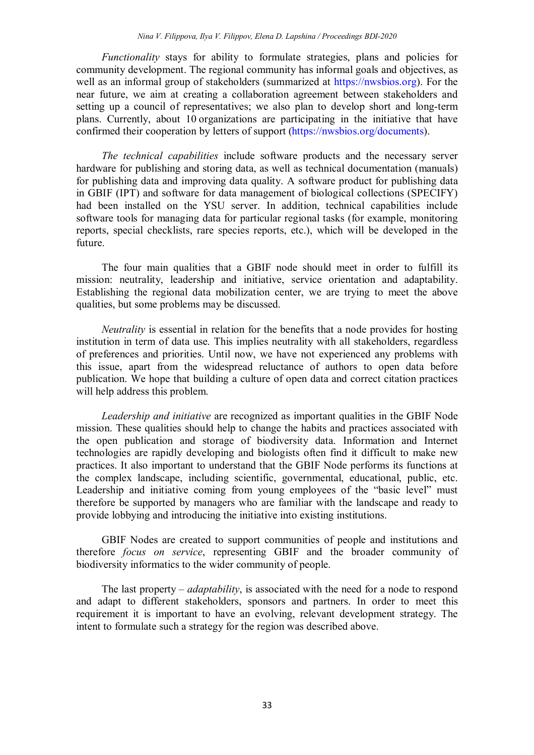*Functionality* stays for ability to formulate strategies, plans and policies for community development. The regional community has informal goals and objectives, as well as an informal group of stakeholders (summarized at https://nwsbios.org). For the near future, we aim at creating a collaboration agreement between stakeholders and setting up a council of representatives; we also plan to develop short and long-term plans. Currently, about 10 organizations are participating in the initiative that have confirmed their cooperation by letters of support (https://nwsbios.org/documents).

*The technical capabilities* include software products and the necessary server hardware for publishing and storing data, as well as technical documentation (manuals) for publishing data and improving data quality. A software product for publishing data in GBIF (IPT) and software for data management of biological collections (SPECIFY) had been installed on the YSU server. In addition, technical capabilities include software tools for managing data for particular regional tasks (for example, monitoring reports, special checklists, rare species reports, etc.), which will be developed in the future.

The four main qualities that a GBIF node should meet in order to fulfill its mission: neutrality, leadership and initiative, service orientation and adaptability. Establishing the regional data mobilization center, we are trying to meet the above qualities, but some problems may be discussed.

*Neutrality* is essential in relation for the benefits that a node provides for hosting institution in term of data use. This implies neutrality with all stakeholders, regardless of preferences and priorities. Until now, we have not experienced any problems with this issue, apart from the widespread reluctance of authors to open data before publication. We hope that building a culture of open data and correct citation practices will help address this problem.

*Leadership and initiative* are recognized as important qualities in the GBIF Node mission. These qualities should help to change the habits and practices associated with the open publication and storage of biodiversity data. Information and Internet technologies are rapidly developing and biologists often find it difficult to make new practices. It also important to understand that the GBIF Node performs its functions at the complex landscape, including scientific, governmental, educational, public, etc. Leadership and initiative coming from young employees of the "basic level" must therefore be supported by managers who are familiar with the landscape and ready to provide lobbying and introducing the initiative into existing institutions.

GBIF Nodes are created to support communities of people and institutions and therefore *focus on service*, representing GBIF and the broader community of biodiversity informatics to the wider community of people.

The last property – *adaptability*, is associated with the need for a node to respond and adapt to different stakeholders, sponsors and partners. In order to meet this requirement it is important to have an evolving, relevant development strategy. The intent to formulate such a strategy for the region was described above.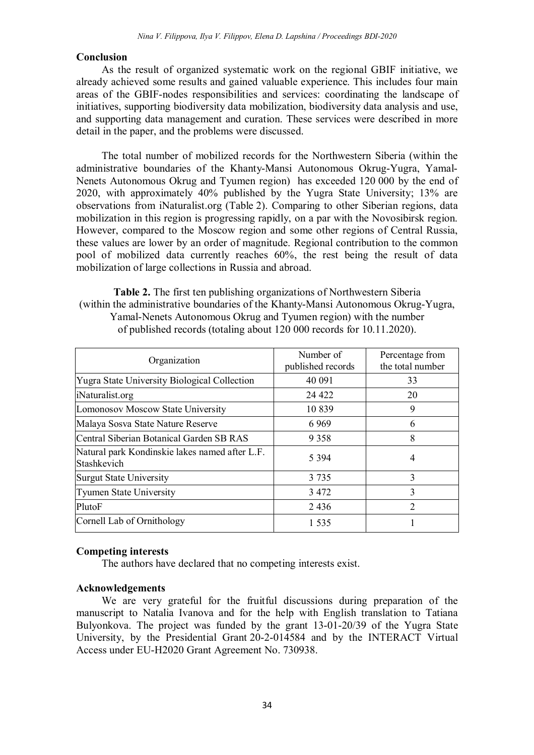# **Conclusion**

As the result of organized systematic work on the regional GBIF initiative, we already achieved some results and gained valuable experience. This includes four main areas of the GBIF-nodes responsibilities and services: coordinating the landscape of initiatives, supporting biodiversity data mobilization, biodiversity data analysis and use, and supporting data management and curation. These services were described in more detail in the paper, and the problems were discussed.

The total number of mobilized records for the Northwestern Siberia (within the administrative boundaries of the Khanty-Mansi Autonomous Okrug-Yugra, Yamal-Nenets Autonomous Okrug and Tyumen region) has exceeded 120 000 by the end of 2020, with approximately 40% published by the Yugra State University; 13% are observations from iNaturalist.org (Table 2). Comparing to other Siberian regions, data mobilization in this region is progressing rapidly, on a par with the Novosibirsk region. However, compared to the Moscow region and some other regions of Central Russia, these values are lower by an order of magnitude. Regional contribution to the common pool of mobilized data currently reaches 60%, the rest being the result of data mobilization of large collections in Russia and abroad.

**Table 2.** The first ten publishing organizations of Northwestern Siberia (within the administrative boundaries of the Khanty-Mansi Autonomous Okrug-Yugra, Yamal-Nenets Autonomous Okrug and Tyumen region) with the number оf published records (totaling about 120 000 records for 10.11.2020).

| Organization                                                  | Number of<br>published records | Percentage from<br>the total number |
|---------------------------------------------------------------|--------------------------------|-------------------------------------|
| <b>Yugra State University Biological Collection</b>           | 40 091                         | 33                                  |
| iNaturalist.org                                               | 24 4 22                        | 20                                  |
| Lomonosov Moscow State University                             | 10839                          | 9                                   |
| Malaya Sosva State Nature Reserve                             | 6969                           | 6                                   |
| Central Siberian Botanical Garden SB RAS                      | 9 3 5 8                        | 8                                   |
| Natural park Kondinskie lakes named after L.F.<br>Stashkevich | 5 3 9 4                        | 4                                   |
| <b>Surgut State University</b>                                | 3 7 3 5                        | 3                                   |
| <b>Tyumen State University</b>                                | 3 4 7 2                        | 3                                   |
| PlutoF                                                        | 2436                           | $\mathfrak{D}$                      |
| Cornell Lab of Ornithology                                    | 1.535                          |                                     |

#### **Competing interests**

The authors have declared that no competing interests exist.

# **Acknowledgements**

We are very grateful for the fruitful discussions during preparation of the manuscript to Natalia Ivanova and for the help with English translation to Tatiana Bulyonkova. The project was funded by the grant 13-01-20/39 of the Yugra State University, by the Presidential Grant 20-2-014584 and by the INTERACT Virtual Access under EU-H2020 Grant Agreement No. 730938.